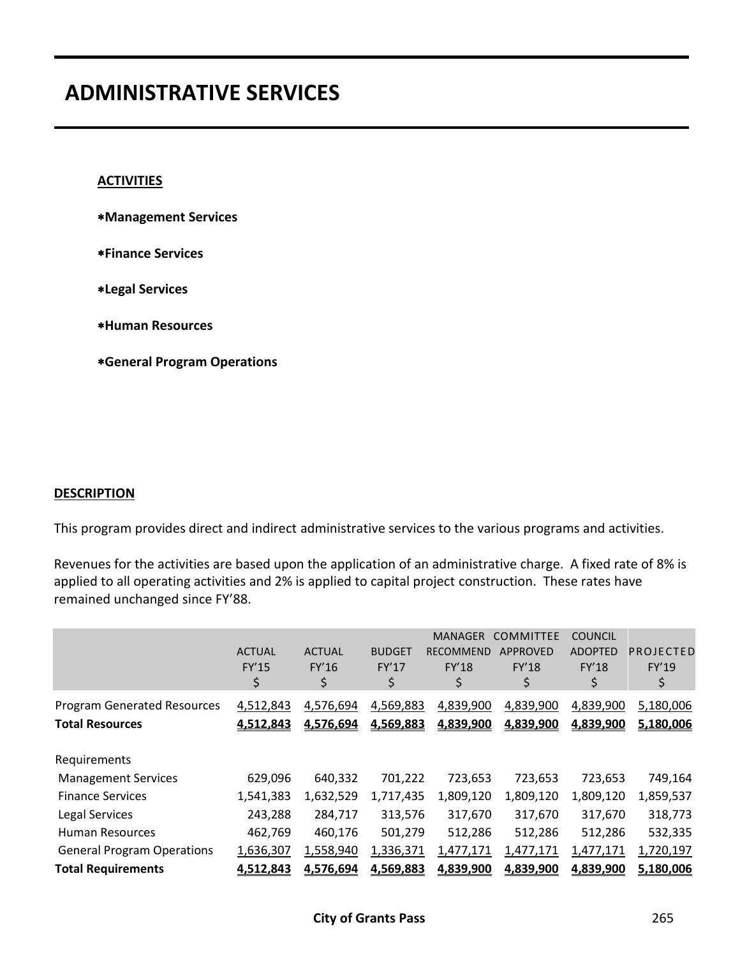#### **ACTIVITIES**

- **Management Services**
- **Finance Services**
- **Legal Services**
- **Human Resources**
- **General Program Operations**

#### **DESCRIPTION**

This program provides direct and indirect administrative services to the various programs and activities.

Revenues for the activities are based upon the application of an administrative charge. A fixed rate of 8% is applied to all operating activities and 2% is applied to capital project construction. These rates have remained unchanged since FY'88.

|                                                              | <b>ACTUAL</b><br>FY'15<br>\$ | <b>ACTUAL</b><br>FY'16<br>\$ | <b>BUDGET</b><br>FY'17<br>\$ | <b>MANAGER</b><br><b>RECOMMEND</b><br><b>FY'18</b> | <b>COMMITTEE</b><br>APPROVED<br><b>FY'18</b><br>\$ | <b>COUNCIL</b><br><b>ADOPTED</b><br><b>FY'18</b><br>\$ | PROJECTED<br>FY'19<br>\$ |
|--------------------------------------------------------------|------------------------------|------------------------------|------------------------------|----------------------------------------------------|----------------------------------------------------|--------------------------------------------------------|--------------------------|
| <b>Program Generated Resources</b><br><b>Total Resources</b> | 4,512,843<br>4,512,843       | 4,576,694<br>4,576,694       | 4,569,883<br>4,569,883       | 4,839,900<br>4,839,900                             | 4,839,900<br>4,839,900                             | 4,839,900<br>4,839,900                                 | 5,180,006<br>5,180,006   |
| Requirements                                                 |                              |                              |                              |                                                    |                                                    |                                                        |                          |
| <b>Management Services</b>                                   | 629,096                      | 640,332                      | 701,222                      | 723,653                                            | 723,653                                            | 723,653                                                | 749,164                  |
| <b>Finance Services</b>                                      | 1,541,383                    | 1,632,529                    | 1,717,435                    | 1,809,120                                          | 1,809,120                                          | 1,809,120                                              | 1,859,537                |
| Legal Services                                               | 243,288                      | 284,717                      | 313,576                      | 317,670                                            | 317,670                                            | 317,670                                                | 318,773                  |
| <b>Human Resources</b>                                       | 462,769                      | 460,176                      | 501,279                      | 512,286                                            | 512,286                                            | 512,286                                                | 532,335                  |
| <b>General Program Operations</b>                            | 1,636,307                    | 1,558,940                    | 1,336,371                    | 1,477,171                                          | 1,477,171                                          | 1,477,171                                              | 1,720,197                |
| <b>Total Requirements</b>                                    | 4,512,843                    | 4,576,694                    | 4,569,883                    | 4,839,900                                          | 4,839,900                                          | 4,839,900                                              | 5,180,006                |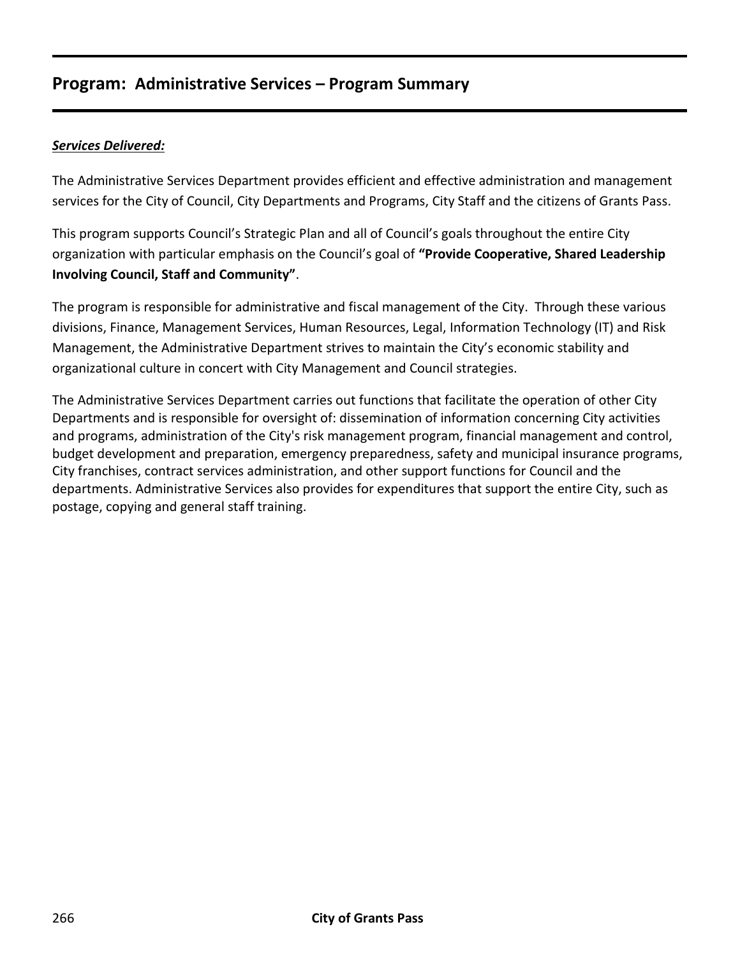# **Program: Administrative Services – Program Summary**

## *Services Delivered:*

The Administrative Services Department provides efficient and effective administration and management services for the City of Council, City Departments and Programs, City Staff and the citizens of Grants Pass.

This program supports Council's Strategic Plan and all of Council's goals throughout the entire City organization with particular emphasis on the Council's goal of **"Provide Cooperative, Shared Leadership Involving Council, Staff and Community"**.

The program is responsible for administrative and fiscal management of the City. Through these various divisions, Finance, Management Services, Human Resources, Legal, Information Technology (IT) and Risk Management, the Administrative Department strives to maintain the City's economic stability and organizational culture in concert with City Management and Council strategies.

The Administrative Services Department carries out functions that facilitate the operation of other City Departments and is responsible for oversight of: dissemination of information concerning City activities and programs, administration of the City's risk management program, financial management and control, budget development and preparation, emergency preparedness, safety and municipal insurance programs, City franchises, contract services administration, and other support functions for Council and the departments. Administrative Services also provides for expenditures that support the entire City, such as postage, copying and general staff training.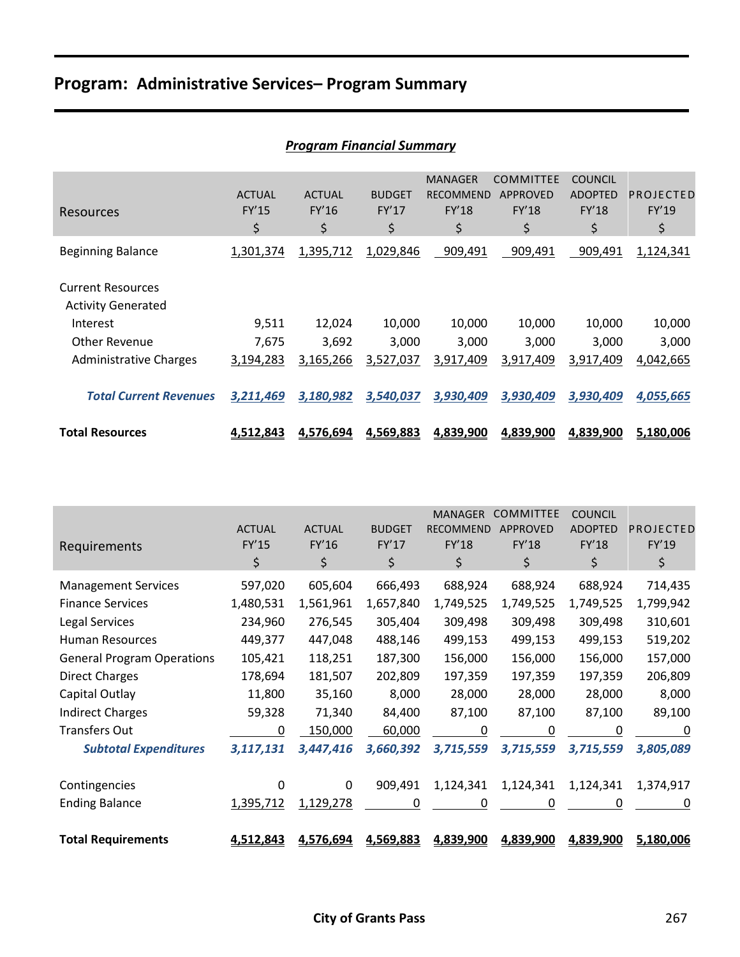# **Program: Administrative Services– Program Summary**

|                                                       |                              | r rogram mancial salilliary  |                              |                                                   |                                                    |                                                 |                          |
|-------------------------------------------------------|------------------------------|------------------------------|------------------------------|---------------------------------------------------|----------------------------------------------------|-------------------------------------------------|--------------------------|
| Resources                                             | <b>ACTUAL</b><br>FY'15<br>\$ | <b>ACTUAL</b><br>FY'16<br>\$ | <b>BUDGET</b><br>FY'17<br>\$ | <b>MANAGER</b><br><b>RECOMMEND</b><br>FY'18<br>\$ | <b>COMMITTEE</b><br><b>APPROVED</b><br>FY'18<br>\$ | <b>COUNCIL</b><br><b>ADOPTED</b><br>FY'18<br>\$ | PROJECTED<br>FY'19<br>\$ |
| <b>Beginning Balance</b>                              | 1,301,374                    | 1,395,712                    | 1,029,846                    | 909,491                                           | 909,491                                            | 909,491                                         | 1,124,341                |
| <b>Current Resources</b><br><b>Activity Generated</b> |                              |                              |                              |                                                   |                                                    |                                                 |                          |
| Interest                                              | 9,511                        | 12,024                       | 10,000                       | 10,000                                            | 10,000                                             | 10,000                                          | 10,000                   |
| <b>Other Revenue</b>                                  | 7,675                        | 3,692                        | 3,000                        | 3,000                                             | 3,000                                              | 3,000                                           | 3,000                    |
| <b>Administrative Charges</b>                         | 3,194,283                    | 3,165,266                    | 3,527,037                    | 3,917,409                                         | 3,917,409                                          | 3,917,409                                       | 4,042,665                |
| <b>Total Current Revenues</b>                         | 3,211,469                    | 3,180,982                    | 3,540,037                    | 3,930,409                                         | 3,930,409                                          | 3,930,409                                       | 4,055,665                |
| <b>Total Resources</b>                                | 4,512,843                    | 4,576,694                    | 4,569,883                    | 4,839,900                                         | 4,839,900                                          | 4,839,900                                       | 5,180,006                |

|                                   |               |               |               | <b>MANAGER</b>   | <b>COMMITTEE</b> | <b>COUNCIL</b> |           |
|-----------------------------------|---------------|---------------|---------------|------------------|------------------|----------------|-----------|
|                                   | <b>ACTUAL</b> | <b>ACTUAL</b> | <b>BUDGET</b> | <b>RECOMMEND</b> | <b>APPROVED</b>  | <b>ADOPTED</b> | PROJECTED |
| Requirements                      | FY'15         | FY'16         | FY'17         | <b>FY'18</b>     | FY'18            | FY'18          | FY'19     |
|                                   | \$            | \$            | \$            | \$               | \$               | \$             | \$        |
| <b>Management Services</b>        | 597,020       | 605,604       | 666,493       | 688,924          | 688,924          | 688,924        | 714,435   |
| <b>Finance Services</b>           | 1,480,531     | 1,561,961     | 1,657,840     | 1,749,525        | 1,749,525        | 1,749,525      | 1,799,942 |
| Legal Services                    | 234,960       | 276,545       | 305,404       | 309,498          | 309,498          | 309,498        | 310,601   |
| <b>Human Resources</b>            | 449,377       | 447,048       | 488,146       | 499,153          | 499,153          | 499,153        | 519,202   |
| <b>General Program Operations</b> | 105,421       | 118,251       | 187,300       | 156,000          | 156,000          | 156,000        | 157,000   |
| <b>Direct Charges</b>             | 178,694       | 181,507       | 202,809       | 197,359          | 197,359          | 197,359        | 206,809   |
| Capital Outlay                    | 11,800        | 35,160        | 8,000         | 28,000           | 28,000           | 28,000         | 8,000     |
| <b>Indirect Charges</b>           | 59,328        | 71,340        | 84,400        | 87,100           | 87,100           | 87,100         | 89,100    |
| <b>Transfers Out</b>              | 0             | 150,000       | 60,000        | 0                | 0                | 0              | 0         |
| <b>Subtotal Expenditures</b>      | 3,117,131     | 3,447,416     | 3,660,392     | 3,715,559        | 3,715,559        | 3,715,559      | 3,805,089 |
| Contingencies                     | 0             | 0             | 909,491       | 1,124,341        | 1,124,341        | 1,124,341      | 1,374,917 |
| <b>Ending Balance</b>             | 1,395,712     | 1,129,278     | 0             | 0                | 0                | 0              | 0         |
| <b>Total Requirements</b>         | 4,512,843     | 4,576,694     | 4,569,883     | 4,839,900        | 4,839,900        | 4,839,900      | 5,180,006 |

#### *Program Financial Summary*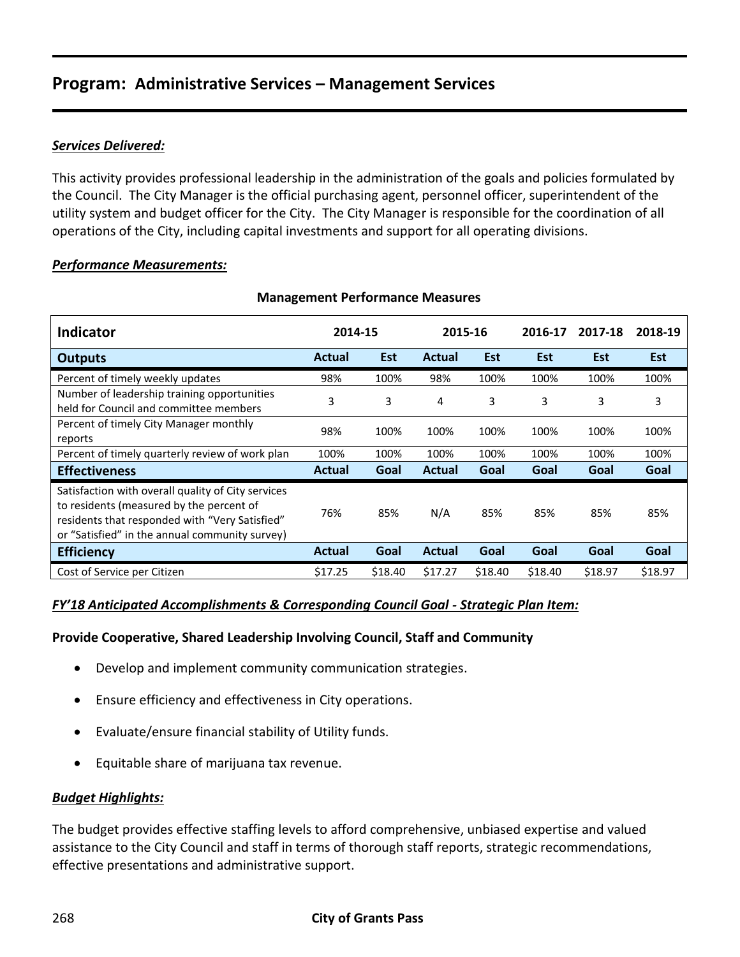### *Services Delivered:*

This activity provides professional leadership in the administration of the goals and policies formulated by the Council. The City Manager is the official purchasing agent, personnel officer, superintendent of the utility system and budget officer for the City. The City Manager is responsible for the coordination of all operations of the City, including capital investments and support for all operating divisions.

#### *Performance Measurements:*

| <b>Indicator</b>                                                                                                                                                                                   | 2014-15       |            | 2015-16       |            | 2016-17 | 2017-18 | 2018-19    |
|----------------------------------------------------------------------------------------------------------------------------------------------------------------------------------------------------|---------------|------------|---------------|------------|---------|---------|------------|
| <b>Outputs</b>                                                                                                                                                                                     | <b>Actual</b> | <b>Est</b> | Actual        | <b>Est</b> | Est     | Est     | <b>Est</b> |
| Percent of timely weekly updates                                                                                                                                                                   | 98%           | 100%       | 98%           | 100%       | 100%    | 100%    | 100%       |
| Number of leadership training opportunities<br>held for Council and committee members                                                                                                              | 3             | 3          | 4             | 3          | 3       | 3       | 3          |
| Percent of timely City Manager monthly<br>reports                                                                                                                                                  | 98%           | 100%       | 100%          | 100%       | 100%    | 100%    | 100%       |
| Percent of timely quarterly review of work plan                                                                                                                                                    | 100%          | 100%       | 100%          | 100%       | 100%    | 100%    | 100%       |
| <b>Effectiveness</b>                                                                                                                                                                               | <b>Actual</b> | Goal       | <b>Actual</b> | Goal       | Goal    | Goal    | Goal       |
| Satisfaction with overall quality of City services<br>to residents (measured by the percent of<br>residents that responded with "Very Satisfied"<br>or "Satisfied" in the annual community survey) | 76%           | 85%        | N/A           | 85%        | 85%     | 85%     | 85%        |
| <b>Efficiency</b>                                                                                                                                                                                  | <b>Actual</b> | Goal       | <b>Actual</b> | Goal       | Goal    | Goal    | Goal       |
| Cost of Service per Citizen                                                                                                                                                                        | \$17.25       | \$18.40    | \$17.27       | \$18.40    | \$18.40 | \$18.97 | \$18.97    |

#### **Management Performance Measures**

### *FY'18 Anticipated Accomplishments & Corresponding Council Goal - Strategic Plan Item:*

#### **Provide Cooperative, Shared Leadership Involving Council, Staff and Community**

- Develop and implement community communication strategies.
- Ensure efficiency and effectiveness in City operations.
- Evaluate/ensure financial stability of Utility funds.
- Equitable share of marijuana tax revenue.

#### *Budget Highlights:*

The budget provides effective staffing levels to afford comprehensive, unbiased expertise and valued assistance to the City Council and staff in terms of thorough staff reports, strategic recommendations, effective presentations and administrative support.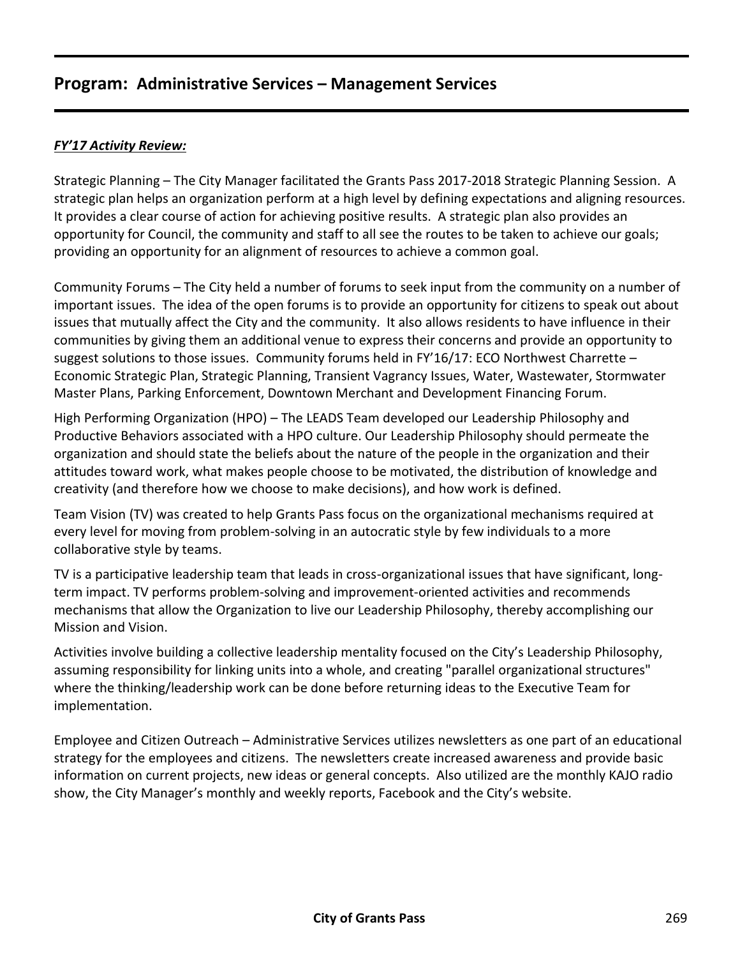### *FY'17 Activity Review:*

Strategic Planning – The City Manager facilitated the Grants Pass 2017-2018 Strategic Planning Session. A strategic plan helps an organization perform at a high level by defining expectations and aligning resources. It provides a clear course of action for achieving positive results. A strategic plan also provides an opportunity for Council, the community and staff to all see the routes to be taken to achieve our goals; providing an opportunity for an alignment of resources to achieve a common goal.

Community Forums – The City held a number of forums to seek input from the community on a number of important issues. The idea of the open forums is to provide an opportunity for citizens to speak out about issues that mutually affect the City and the community. It also allows residents to have influence in their communities by giving them an additional venue to express their concerns and provide an opportunity to suggest solutions to those issues. Community forums held in FY'16/17: ECO Northwest Charrette -Economic Strategic Plan, Strategic Planning, Transient Vagrancy Issues, Water, Wastewater, Stormwater Master Plans, Parking Enforcement, Downtown Merchant and Development Financing Forum.

High Performing Organization (HPO) – The LEADS Team developed our Leadership Philosophy and Productive Behaviors associated with a HPO culture. Our Leadership Philosophy should permeate the organization and should state the beliefs about the nature of the people in the organization and their attitudes toward work, what makes people choose to be motivated, the distribution of knowledge and creativity (and therefore how we choose to make decisions), and how work is defined.

Team Vision (TV) was created to help Grants Pass focus on the organizational mechanisms required at every level for moving from problem-solving in an autocratic style by few individuals to a more collaborative style by teams.

TV is a participative leadership team that leads in cross-organizational issues that have significant, longterm impact. TV performs problem-solving and improvement-oriented activities and recommends mechanisms that allow the Organization to live our Leadership Philosophy, thereby accomplishing our Mission and Vision.

Activities involve building a collective leadership mentality focused on the City's Leadership Philosophy, assuming responsibility for linking units into a whole, and creating "parallel organizational structures" where the thinking/leadership work can be done before returning ideas to the Executive Team for implementation.

Employee and Citizen Outreach – Administrative Services utilizes newsletters as one part of an educational strategy for the employees and citizens. The newsletters create increased awareness and provide basic information on current projects, new ideas or general concepts. Also utilized are the monthly KAJO radio show, the City Manager's monthly and weekly reports, Facebook and the City's website.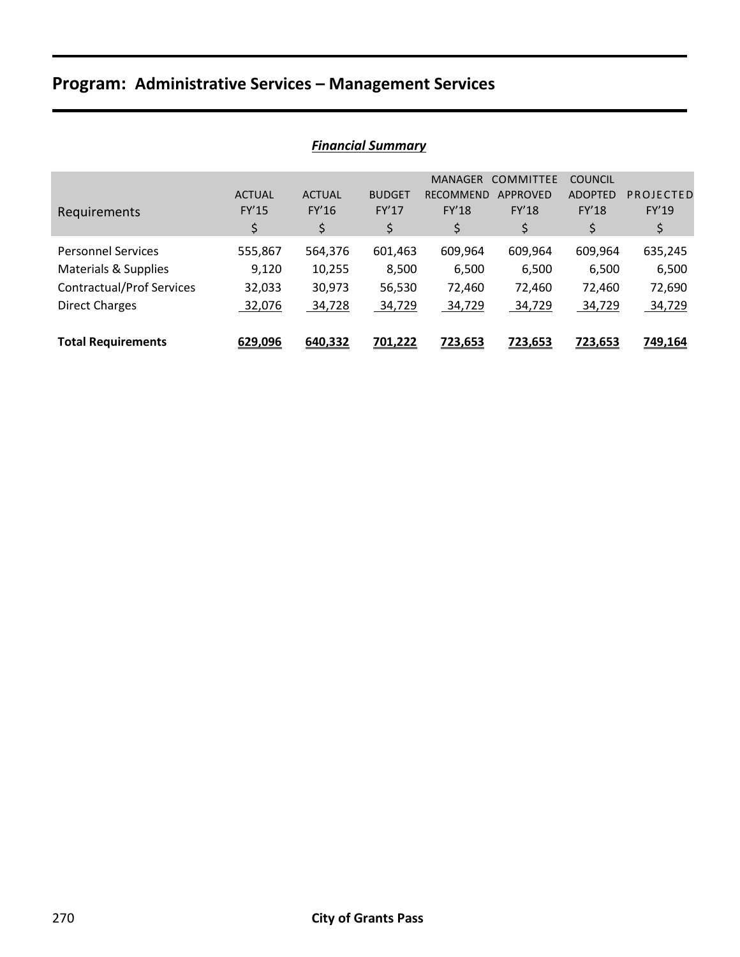| I IIIUIILIUI JUIIIIIIUI Y        |               |               |               |                  |                  |                |           |  |  |
|----------------------------------|---------------|---------------|---------------|------------------|------------------|----------------|-----------|--|--|
|                                  |               |               |               | <b>MANAGER</b>   | <b>COMMITTEE</b> | <b>COUNCIL</b> |           |  |  |
|                                  | <b>ACTUAL</b> | <b>ACTUAL</b> | <b>BUDGET</b> | <b>RECOMMEND</b> | <b>APPROVED</b>  | <b>ADOPTED</b> | PROJECTED |  |  |
| Requirements                     | FY'15         | FY'16         | FY'17         | <b>FY'18</b>     | <b>FY'18</b>     | <b>FY'18</b>   | FY'19     |  |  |
|                                  | \$            | \$            | \$            | \$               | \$               | \$             | \$        |  |  |
| <b>Personnel Services</b>        | 555,867       | 564,376       | 601,463       | 609,964          | 609,964          | 609,964        | 635,245   |  |  |
| Materials & Supplies             | 9,120         | 10,255        | 8,500         | 6,500            | 6,500            | 6,500          | 6,500     |  |  |
| <b>Contractual/Prof Services</b> | 32,033        | 30,973        | 56,530        | 72,460           | 72,460           | 72,460         | 72,690    |  |  |
| <b>Direct Charges</b>            | 32,076        | 34,728        | 34,729        | 34,729           | 34,729           | 34,729         | 34,729    |  |  |
|                                  |               |               |               |                  |                  |                |           |  |  |
| <b>Total Requirements</b>        | 629,096       | 640,332       | 701,222       | <u>723,653</u>   | <u>723,653</u>   | 723,653        | 749,164   |  |  |

## *Financial Summary*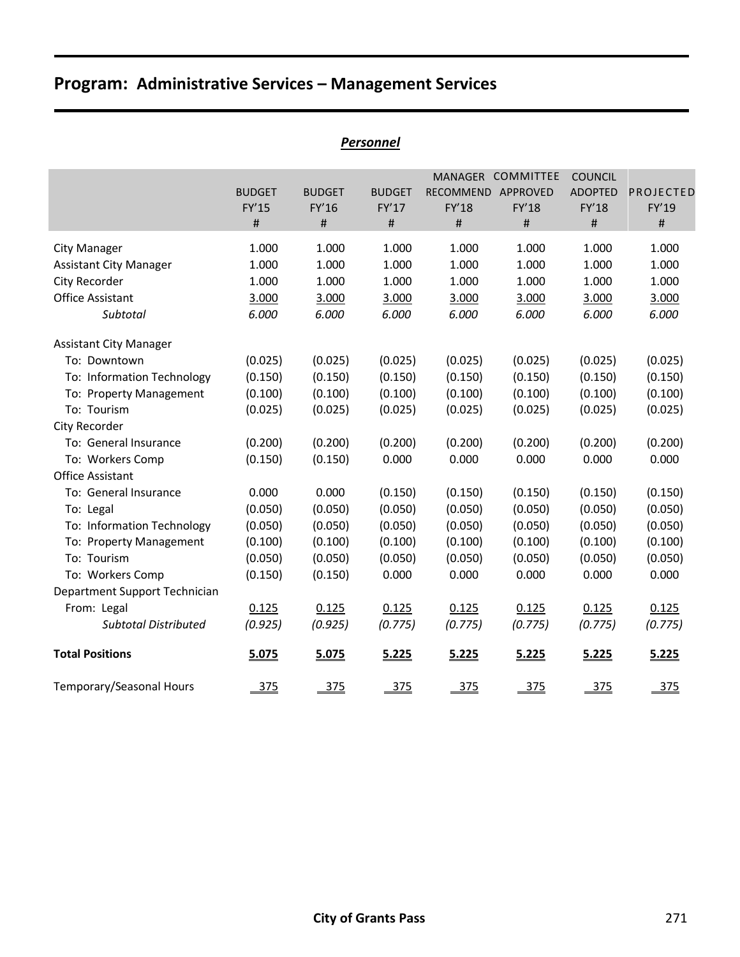|                               |                             |                             | Personnel                          |                            |                                                                         |                                                   |                            |
|-------------------------------|-----------------------------|-----------------------------|------------------------------------|----------------------------|-------------------------------------------------------------------------|---------------------------------------------------|----------------------------|
|                               | <b>BUDGET</b><br>FY'15<br># | <b>BUDGET</b><br>FY'16<br># | <b>BUDGET</b><br>FY'17<br>$\sharp$ | RECOMMEND<br>FY'18<br>$\#$ | MANAGER COMMITTEE<br>APPROVED<br>FY'18<br>$\sharp\hspace{-0.8em}\sharp$ | <b>COUNCIL</b><br><b>ADOPTED</b><br>FY'18<br>$\#$ | PROJECTED<br>FY'19<br>$\#$ |
| <b>City Manager</b>           | 1.000                       | 1.000                       | 1.000                              | 1.000                      | 1.000                                                                   | 1.000                                             | 1.000                      |
| <b>Assistant City Manager</b> | 1.000                       | 1.000                       | 1.000                              | 1.000                      | 1.000                                                                   | 1.000                                             | 1.000                      |
| City Recorder                 | 1.000                       | 1.000                       | 1.000                              | 1.000                      | 1.000                                                                   | 1.000                                             | 1.000                      |
| <b>Office Assistant</b>       | 3.000                       | 3.000                       | 3.000                              | 3.000                      | 3.000                                                                   | 3.000                                             | 3.000                      |
| Subtotal                      | 6.000                       | 6.000                       | 6.000                              | 6.000                      | 6.000                                                                   | 6.000                                             | 6.000                      |
| <b>Assistant City Manager</b> |                             |                             |                                    |                            |                                                                         |                                                   |                            |
| To: Downtown                  | (0.025)                     | (0.025)                     | (0.025)                            | (0.025)                    | (0.025)                                                                 | (0.025)                                           | (0.025)                    |
| To: Information Technology    | (0.150)                     | (0.150)                     | (0.150)                            | (0.150)                    | (0.150)                                                                 | (0.150)                                           | (0.150)                    |
| To: Property Management       | (0.100)                     | (0.100)                     | (0.100)                            | (0.100)                    | (0.100)                                                                 | (0.100)                                           | (0.100)                    |
| To: Tourism                   | (0.025)                     | (0.025)                     | (0.025)                            | (0.025)                    | (0.025)                                                                 | (0.025)                                           | (0.025)                    |
| City Recorder                 |                             |                             |                                    |                            |                                                                         |                                                   |                            |
| To: General Insurance         | (0.200)                     | (0.200)                     | (0.200)                            | (0.200)                    | (0.200)                                                                 | (0.200)                                           | (0.200)                    |
| To: Workers Comp              | (0.150)                     | (0.150)                     | 0.000                              | 0.000                      | 0.000                                                                   | 0.000                                             | 0.000                      |
| <b>Office Assistant</b>       |                             |                             |                                    |                            |                                                                         |                                                   |                            |
| To: General Insurance         | 0.000                       | 0.000                       | (0.150)                            | (0.150)                    | (0.150)                                                                 | (0.150)                                           | (0.150)                    |
| To: Legal                     | (0.050)                     | (0.050)                     | (0.050)                            | (0.050)                    | (0.050)                                                                 | (0.050)                                           | (0.050)                    |
| To: Information Technology    | (0.050)                     | (0.050)                     | (0.050)                            | (0.050)                    | (0.050)                                                                 | (0.050)                                           | (0.050)                    |
| To: Property Management       | (0.100)                     | (0.100)                     | (0.100)                            | (0.100)                    | (0.100)                                                                 | (0.100)                                           | (0.100)                    |
| To: Tourism                   | (0.050)                     | (0.050)                     | (0.050)                            | (0.050)                    | (0.050)                                                                 | (0.050)                                           | (0.050)                    |
| To: Workers Comp              | (0.150)                     | (0.150)                     | 0.000                              | 0.000                      | 0.000                                                                   | 0.000                                             | 0.000                      |
| Department Support Technician |                             |                             |                                    |                            |                                                                         |                                                   |                            |
| From: Legal                   | 0.125                       | 0.125                       | 0.125                              | 0.125                      | 0.125                                                                   | 0.125                                             | 0.125                      |
| <b>Subtotal Distributed</b>   | (0.925)                     | (0.925)                     | (0.775)                            | (0.775)                    | (0.775)                                                                 | (0.775)                                           | (0.775)                    |
| <b>Total Positions</b>        | 5.075                       | 5.075                       | 5.225                              | 5.225                      | 5.225                                                                   | 5.225                                             | 5.225                      |
| Temporary/Seasonal Hours      | 375                         | 375                         | 375                                | 375                        | 375                                                                     | 375                                               | 375                        |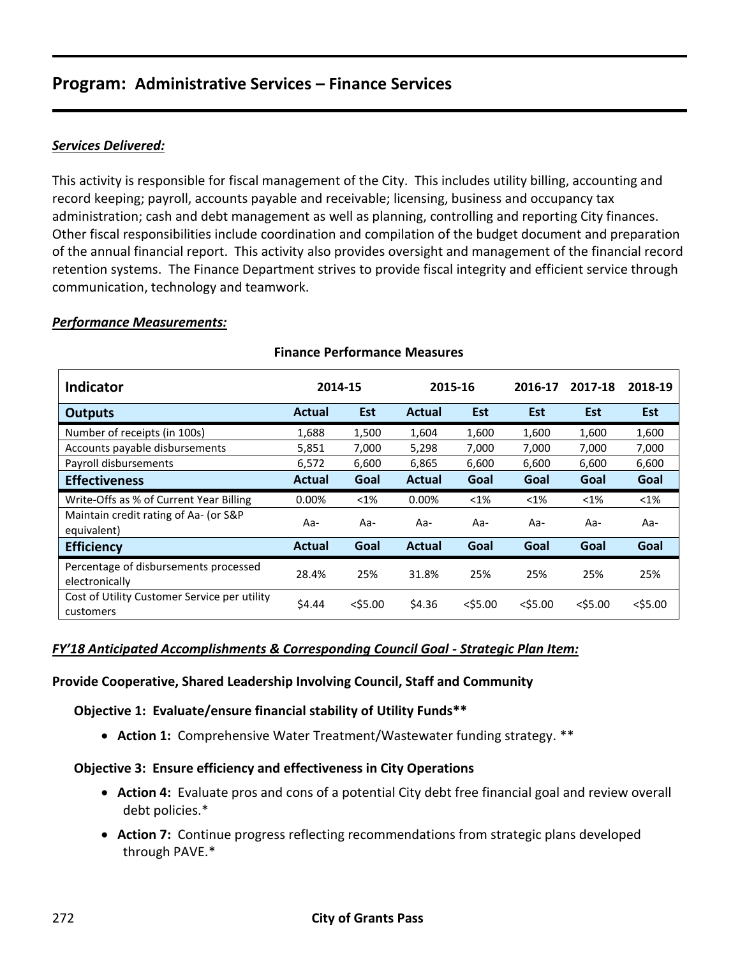#### *Services Delivered:*

This activity is responsible for fiscal management of the City. This includes utility billing, accounting and record keeping; payroll, accounts payable and receivable; licensing, business and occupancy tax administration; cash and debt management as well as planning, controlling and reporting City finances. Other fiscal responsibilities include coordination and compilation of the budget document and preparation of the annual financial report. This activity also provides oversight and management of the financial record retention systems. The Finance Department strives to provide fiscal integrity and efficient service through communication, technology and teamwork.

#### *Performance Measurements:*

| <b>Indicator</b>                                          | 2014-15       |            |               | 2015-16    |            | 2017-18    | 2018-19    |
|-----------------------------------------------------------|---------------|------------|---------------|------------|------------|------------|------------|
| <b>Outputs</b>                                            | <b>Actual</b> | <b>Est</b> | <b>Actual</b> | <b>Est</b> | <b>Est</b> | <b>Est</b> | <b>Est</b> |
| Number of receipts (in 100s)                              | 1,688         | 1,500      | 1,604         | 1,600      | 1,600      | 1,600      | 1,600      |
| Accounts payable disbursements                            | 5,851         | 7,000      | 5,298         | 7,000      | 7,000      | 7,000      | 7,000      |
| Payroll disbursements                                     | 6,572         | 6,600      | 6,865         | 6,600      | 6,600      | 6,600      | 6,600      |
| <b>Effectiveness</b>                                      | Actual        | Goal       | Actual        | Goal       | Goal       | Goal       | Goal       |
| Write-Offs as % of Current Year Billing                   | 0.00%         | $< 1\%$    | 0.00%         | $<$ 1%     | $< 1\%$    | $< 1\%$    | $<$ 1%     |
| Maintain credit rating of Aa- (or S&P<br>equivalent)      | Aa-           | Aa-        | Aa-           | Aa-        | Aa-        | Aa-        | Aa-        |
| <b>Efficiency</b>                                         | <b>Actual</b> | Goal       | <b>Actual</b> | Goal       | Goal       | Goal       | Goal       |
| Percentage of disbursements processed<br>electronically   | 28.4%         | 25%        | 31.8%         | 25%        | 25%        | 25%        | 25%        |
| Cost of Utility Customer Service per utility<br>customers | \$4.44        | $<$ \$5.00 | \$4.36        | $<$ \$5.00 | $<$ \$5.00 | $<$ \$5.00 | $<$ \$5.00 |

### **Finance Performance Measures**

#### *FY'18 Anticipated Accomplishments & Corresponding Council Goal - Strategic Plan Item:*

#### **Provide Cooperative, Shared Leadership Involving Council, Staff and Community**

**Objective 1: Evaluate/ensure financial stability of Utility Funds\*\***

**Action 1:** Comprehensive Water Treatment/Wastewater funding strategy. \*\*

#### **Objective 3: Ensure efficiency and effectiveness in City Operations**

- **Action 4:** Evaluate pros and cons of a potential City debt free financial goal and review overall debt policies.\*
- **Action 7:** Continue progress reflecting recommendations from strategic plans developed through PAVE.\*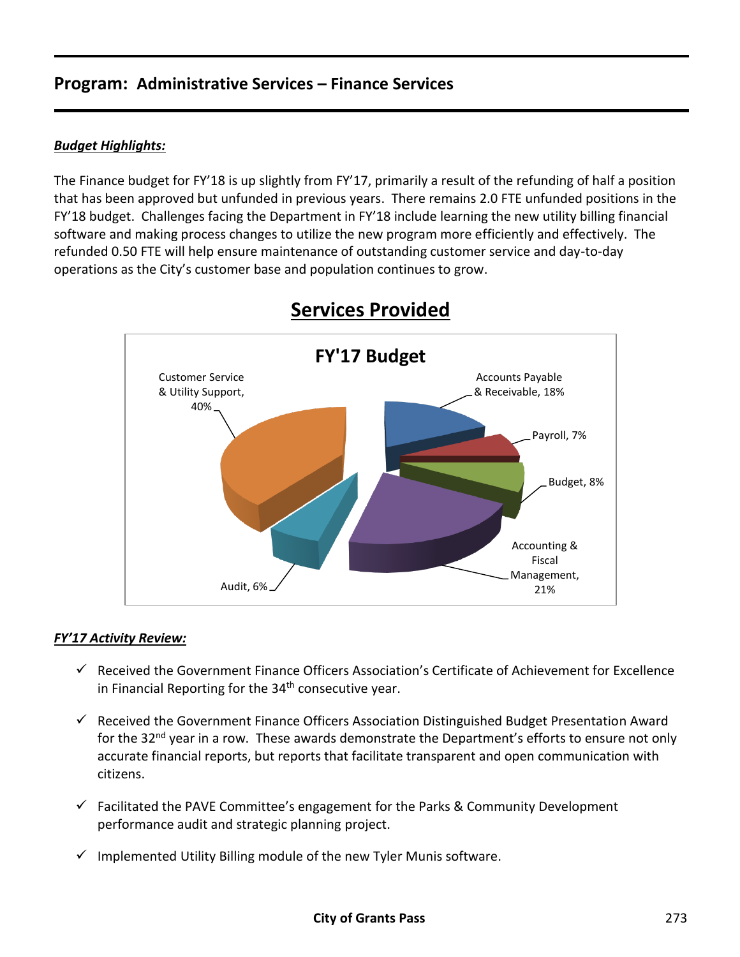### *Budget Highlights:*

The Finance budget for FY'18 is up slightly from FY'17, primarily a result of the refunding of half a position that has been approved but unfunded in previous years. There remains 2.0 FTE unfunded positions in the FY'18 budget. Challenges facing the Department in FY'18 include learning the new utility billing financial software and making process changes to utilize the new program more efficiently and effectively. The refunded 0.50 FTE will help ensure maintenance of outstanding customer service and day-to-day operations as the City's customer base and population continues to grow.



# **Services Provided**

#### *FY'17 Activity Review:*

- $\checkmark$  Received the Government Finance Officers Association's Certificate of Achievement for Excellence in Financial Reporting for the 34<sup>th</sup> consecutive year.
- $\checkmark$  Received the Government Finance Officers Association Distinguished Budget Presentation Award for the 32<sup>nd</sup> year in a row. These awards demonstrate the Department's efforts to ensure not only accurate financial reports, but reports that facilitate transparent and open communication with citizens.
- $\checkmark$  Facilitated the PAVE Committee's engagement for the Parks & Community Development performance audit and strategic planning project.
- $\checkmark$  Implemented Utility Billing module of the new Tyler Munis software.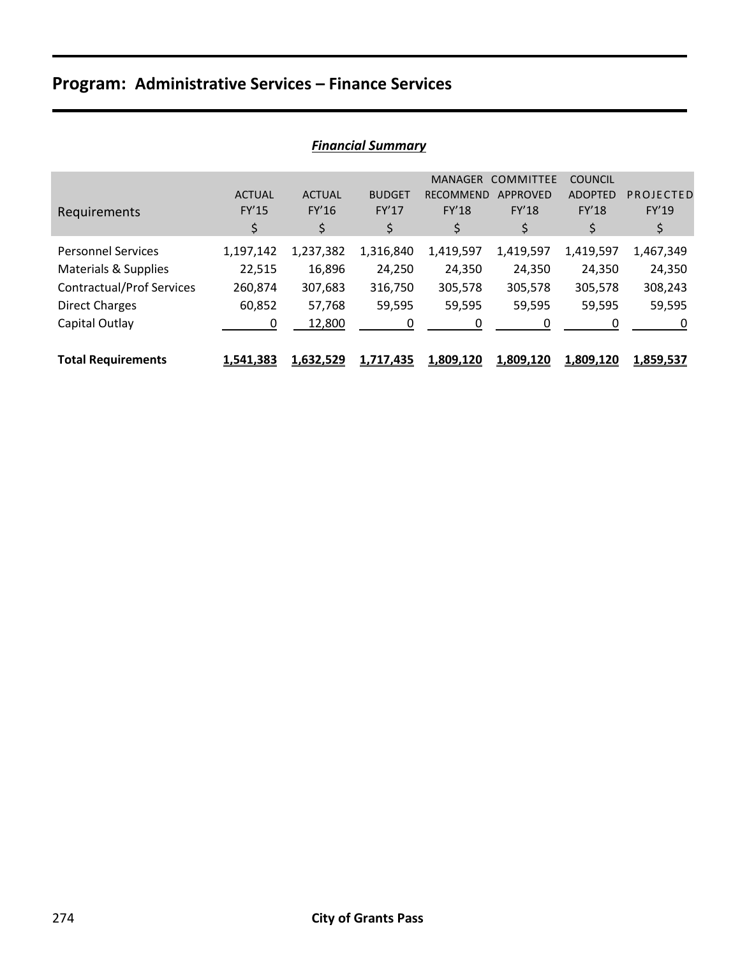|                                  |                  |               | , ,,,,,,,,,,,,,,,,,,,,,,,,,,,, |                  |                  |                |           |
|----------------------------------|------------------|---------------|--------------------------------|------------------|------------------|----------------|-----------|
|                                  |                  |               |                                | <b>MANAGER</b>   | <b>COMMITTEE</b> | <b>COUNCIL</b> |           |
|                                  | <b>ACTUAL</b>    | <b>ACTUAL</b> | <b>BUDGET</b>                  | <b>RECOMMEND</b> | <b>APPROVED</b>  | <b>ADOPTED</b> | PROJECTED |
| Requirements                     | FY'15            | FY'16         | <b>FY'17</b>                   | <b>FY'18</b>     | <b>FY'18</b>     | <b>FY'18</b>   | FY'19     |
|                                  | \$               | \$            | \$                             | \$               | \$               | \$             | \$        |
| <b>Personnel Services</b>        | 1,197,142        | 1,237,382     | 1,316,840                      | 1,419,597        | 1,419,597        | 1,419,597      | 1,467,349 |
| Materials & Supplies             | 22,515           | 16,896        | 24,250                         | 24,350           | 24,350           | 24,350         | 24,350    |
| <b>Contractual/Prof Services</b> | 260,874          | 307,683       | 316,750                        | 305,578          | 305,578          | 305,578        | 308,243   |
| <b>Direct Charges</b>            | 60,852           | 57,768        | 59,595                         | 59,595           | 59,595           | 59,595         | 59,595    |
| Capital Outlay                   | 0                | 12,800        | 0                              | 0                | 0                | 0              | 0         |
| <b>Total Requirements</b>        | <u>1,541,383</u> | 1,632,529     | 1,717,435                      | 1,809,120        | <u>1,809,120</u> | 1,809,120      | 1,859,537 |

## *Financial Summary*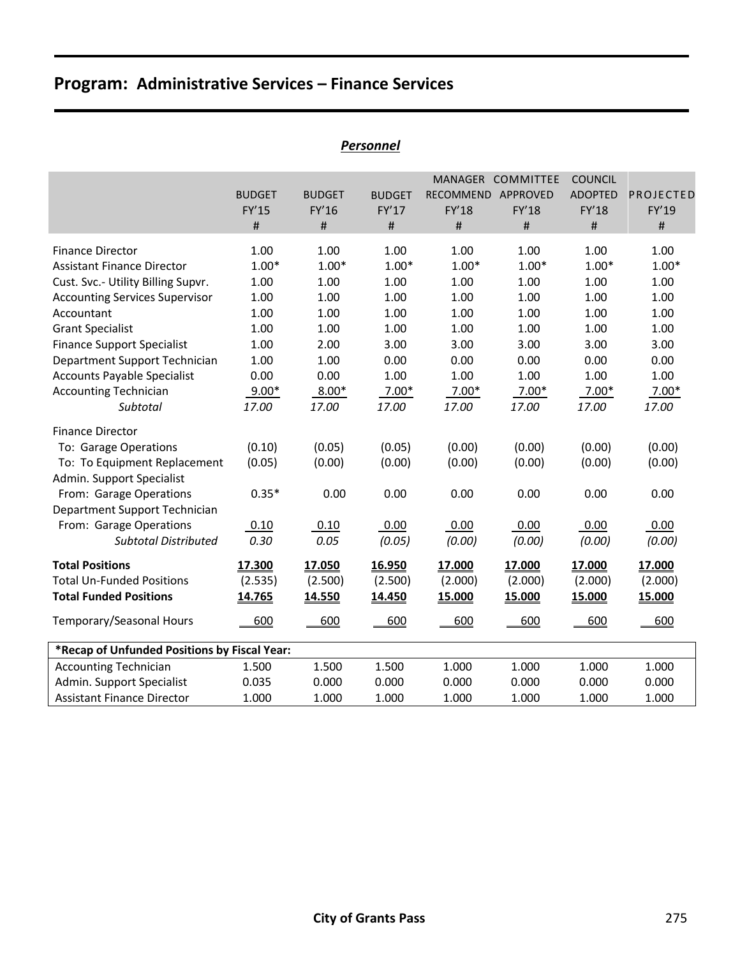|                                                                                                                                                                                                                                                                                                                                              |                                                                                             |                                                                                             | ו בו אטוויכו                                                                                |                                                                                             |                                                                                             |                                                                                             |                                                                                             |
|----------------------------------------------------------------------------------------------------------------------------------------------------------------------------------------------------------------------------------------------------------------------------------------------------------------------------------------------|---------------------------------------------------------------------------------------------|---------------------------------------------------------------------------------------------|---------------------------------------------------------------------------------------------|---------------------------------------------------------------------------------------------|---------------------------------------------------------------------------------------------|---------------------------------------------------------------------------------------------|---------------------------------------------------------------------------------------------|
|                                                                                                                                                                                                                                                                                                                                              | <b>BUDGET</b><br>FY'15<br>#                                                                 | <b>BUDGET</b><br>FY'16<br>$\#$                                                              | <b>BUDGET</b><br>FY'17<br>$\#$                                                              | RECOMMEND APPROVED<br>FY'18<br>$\#$                                                         | MANAGER COMMITTEE<br>FY'18<br>#                                                             | <b>COUNCIL</b><br><b>ADOPTED</b><br>FY'18<br>$\#$                                           | PROJECTED<br>FY'19<br>$\#$                                                                  |
| <b>Finance Director</b><br><b>Assistant Finance Director</b><br>Cust. Svc.- Utility Billing Supvr.<br><b>Accounting Services Supervisor</b><br>Accountant<br><b>Grant Specialist</b><br><b>Finance Support Specialist</b><br>Department Support Technician<br><b>Accounts Payable Specialist</b><br><b>Accounting Technician</b><br>Subtotal | 1.00<br>$1.00*$<br>1.00<br>1.00<br>1.00<br>1.00<br>1.00<br>1.00<br>0.00<br>$9.00*$<br>17.00 | 1.00<br>$1.00*$<br>1.00<br>1.00<br>1.00<br>1.00<br>2.00<br>1.00<br>0.00<br>$8.00*$<br>17.00 | 1.00<br>$1.00*$<br>1.00<br>1.00<br>1.00<br>1.00<br>3.00<br>0.00<br>1.00<br>$7.00*$<br>17.00 | 1.00<br>$1.00*$<br>1.00<br>1.00<br>1.00<br>1.00<br>3.00<br>0.00<br>1.00<br>$7.00*$<br>17.00 | 1.00<br>$1.00*$<br>1.00<br>1.00<br>1.00<br>1.00<br>3.00<br>0.00<br>1.00<br>$7.00*$<br>17.00 | 1.00<br>$1.00*$<br>1.00<br>1.00<br>1.00<br>1.00<br>3.00<br>0.00<br>1.00<br>$7.00*$<br>17.00 | 1.00<br>$1.00*$<br>1.00<br>1.00<br>1.00<br>1.00<br>3.00<br>0.00<br>1.00<br>$7.00*$<br>17.00 |
| <b>Finance Director</b><br>To: Garage Operations<br>To: To Equipment Replacement<br>Admin. Support Specialist<br>From: Garage Operations<br>Department Support Technician<br>From: Garage Operations<br><b>Subtotal Distributed</b>                                                                                                          | (0.10)<br>(0.05)<br>$0.35*$<br>0.10<br>0.30                                                 | (0.05)<br>(0.00)<br>0.00<br>0.10<br>0.05                                                    | (0.05)<br>(0.00)<br>0.00<br>0.00<br>(0.05)                                                  | (0.00)<br>(0.00)<br>0.00<br>0.00<br>(0.00)                                                  | (0.00)<br>(0.00)<br>0.00<br>0.00<br>(0.00)                                                  | (0.00)<br>(0.00)<br>0.00<br>0.00<br>(0.00)                                                  | (0.00)<br>(0.00)<br>0.00<br>0.00<br>(0.00)                                                  |
| <b>Total Positions</b><br><b>Total Un-Funded Positions</b><br><b>Total Funded Positions</b><br>Temporary/Seasonal Hours                                                                                                                                                                                                                      | 17.300<br>(2.535)<br>14.765<br>600                                                          | 17.050<br>(2.500)<br>14.550<br>600                                                          | 16.950<br>(2.500)<br>14.450<br>600                                                          | 17.000<br>(2.000)<br>15.000<br>600                                                          | 17.000<br>(2.000)<br>15.000<br>600                                                          | 17.000<br>(2.000)<br>15.000<br>600                                                          | 17.000<br>(2.000)<br>15.000<br>600                                                          |
| *Recap of Unfunded Positions by Fiscal Year:                                                                                                                                                                                                                                                                                                 |                                                                                             |                                                                                             |                                                                                             |                                                                                             |                                                                                             |                                                                                             |                                                                                             |
| <b>Accounting Technician</b><br>Admin. Support Specialist<br><b>Assistant Finance Director</b>                                                                                                                                                                                                                                               | 1.500<br>0.035<br>1.000                                                                     | 1.500<br>0.000<br>1.000                                                                     | 1.500<br>0.000<br>1.000                                                                     | 1.000<br>0.000<br>1.000                                                                     | 1.000<br>0.000<br>1.000                                                                     | 1.000<br>0.000<br>1.000                                                                     | 1.000<br>0.000<br>1.000                                                                     |

### *Personnel*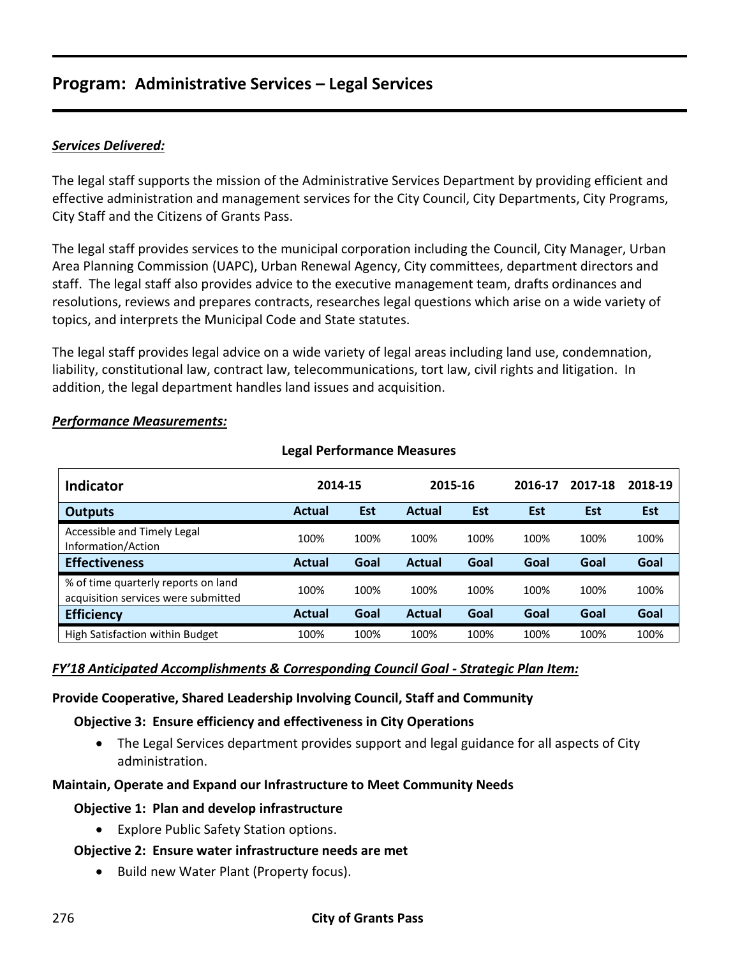### *Services Delivered:*

The legal staff supports the mission of the Administrative Services Department by providing efficient and effective administration and management services for the City Council, City Departments, City Programs, City Staff and the Citizens of Grants Pass.

The legal staff provides services to the municipal corporation including the Council, City Manager, Urban Area Planning Commission (UAPC), Urban Renewal Agency, City committees, department directors and staff. The legal staff also provides advice to the executive management team, drafts ordinances and resolutions, reviews and prepares contracts, researches legal questions which arise on a wide variety of topics, and interprets the Municipal Code and State statutes.

The legal staff provides legal advice on a wide variety of legal areas including land use, condemnation, liability, constitutional law, contract law, telecommunications, tort law, civil rights and litigation. In addition, the legal department handles land issues and acquisition.

#### *Performance Measurements:*

| Indicator                                                                  | 2014-15       |            | 2015-16       |            | 2016-17 | 2017-18    | 2018-19    |
|----------------------------------------------------------------------------|---------------|------------|---------------|------------|---------|------------|------------|
| <b>Outputs</b>                                                             | <b>Actual</b> | <b>Est</b> | <b>Actual</b> | <b>Est</b> | Est     | <b>Est</b> | <b>Est</b> |
| Accessible and Timely Legal<br>Information/Action                          | 100%          | 100%       | 100%          | 100%       | 100%    | 100%       | 100%       |
| <b>Effectiveness</b>                                                       | <b>Actual</b> | Goal       | <b>Actual</b> | Goal       | Goal    | Goal       | Goal       |
| % of time quarterly reports on land<br>acquisition services were submitted | 100%          | 100%       | 100%          | 100%       | 100%    | 100%       | 100%       |
| <b>Efficiency</b>                                                          | <b>Actual</b> | Goal       | <b>Actual</b> | Goal       | Goal    | Goal       | Goal       |
| High Satisfaction within Budget                                            | 100%          | 100%       | 100%          | 100%       | 100%    | 100%       | 100%       |

#### **Legal Performance Measures**

#### *FY'18 Anticipated Accomplishments & Corresponding Council Goal - Strategic Plan Item:*

#### **Provide Cooperative, Shared Leadership Involving Council, Staff and Community**

#### **Objective 3: Ensure efficiency and effectiveness in City Operations**

 The Legal Services department provides support and legal guidance for all aspects of City administration.

#### **Maintain, Operate and Expand our Infrastructure to Meet Community Needs**

#### **Objective 1: Plan and develop infrastructure**

Explore Public Safety Station options.

#### **Objective 2: Ensure water infrastructure needs are met**

• Build new Water Plant (Property focus).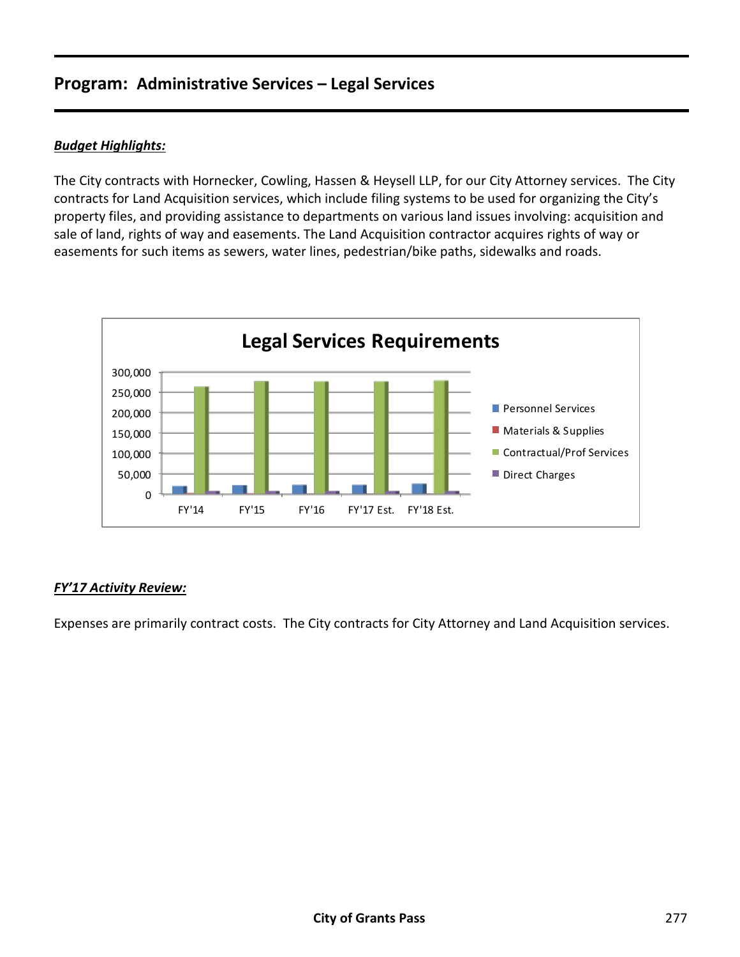### *Budget Highlights:*

The City contracts with Hornecker, Cowling, Hassen & Heysell LLP, for our City Attorney services. The City contracts for Land Acquisition services, which include filing systems to be used for organizing the City's property files, and providing assistance to departments on various land issues involving: acquisition and sale of land, rights of way and easements. The Land Acquisition contractor acquires rights of way or easements for such items as sewers, water lines, pedestrian/bike paths, sidewalks and roads.



### *FY'17 Activity Review:*

Expenses are primarily contract costs. The City contracts for City Attorney and Land Acquisition services.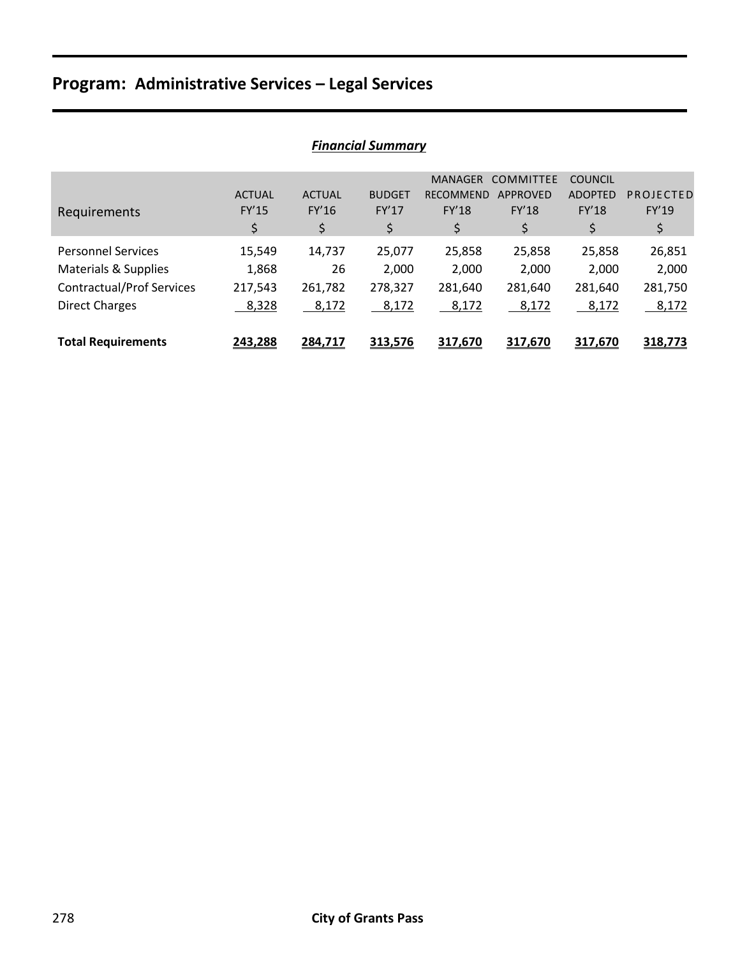| I IIIUIILIUI JUIIIIIIUI Y        |               |               |               |                  |                  |                |           |  |  |
|----------------------------------|---------------|---------------|---------------|------------------|------------------|----------------|-----------|--|--|
|                                  |               |               |               | <b>MANAGER</b>   | <b>COMMITTEE</b> | <b>COUNCIL</b> |           |  |  |
|                                  | <b>ACTUAL</b> | <b>ACTUAL</b> | <b>BUDGET</b> | <b>RECOMMEND</b> | APPROVED         | <b>ADOPTED</b> | PROJECTED |  |  |
| Requirements                     | FY'15         | FY'16         | <b>FY'17</b>  | <b>FY'18</b>     | <b>FY'18</b>     | <b>FY'18</b>   | FY'19     |  |  |
|                                  | \$            | \$            | \$            | \$               | \$               | \$             | \$        |  |  |
| <b>Personnel Services</b>        | 15,549        | 14,737        | 25,077        | 25,858           | 25,858           | 25,858         | 26,851    |  |  |
| Materials & Supplies             | 1,868         | 26            | 2,000         | 2,000            | 2,000            | 2,000          | 2,000     |  |  |
| <b>Contractual/Prof Services</b> | 217,543       | 261,782       | 278,327       | 281,640          | 281,640          | 281,640        | 281,750   |  |  |
| <b>Direct Charges</b>            | 8,328         | 8,172         | 8,172         | 8,172            | 8,172            | 8,172          | 8,172     |  |  |
|                                  |               |               |               |                  |                  |                |           |  |  |
| <b>Total Requirements</b>        | 243,288       | 284,717       | 313,576       | 317,670          | 317,670          | 317,670        | 318,773   |  |  |

## *Financial Summary*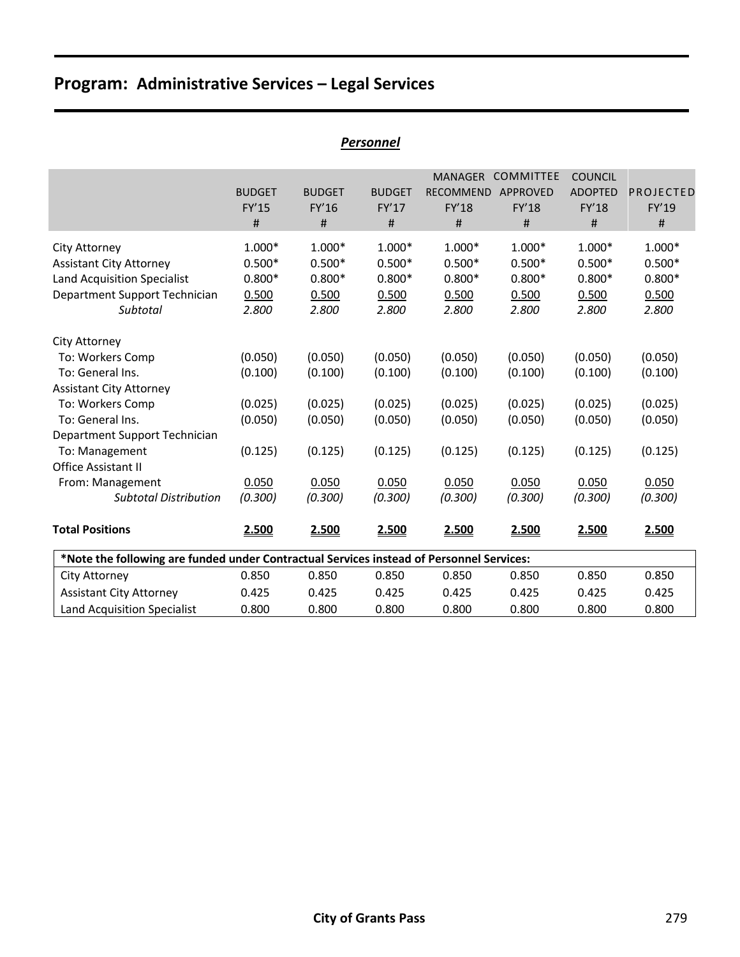| <b>Personnel</b>                                                                                                                                                 |                                                    |                                                    |                                                    |                                                         |                                                          |                                                    |                                                    |  |  |  |
|------------------------------------------------------------------------------------------------------------------------------------------------------------------|----------------------------------------------------|----------------------------------------------------|----------------------------------------------------|---------------------------------------------------------|----------------------------------------------------------|----------------------------------------------------|----------------------------------------------------|--|--|--|
|                                                                                                                                                                  | <b>BUDGET</b><br>FY'15<br>#                        | <b>BUDGET</b><br>FY'16<br>#                        | <b>BUDGET</b><br>FY'17<br>#                        | <b>MANAGER</b><br><b>RECOMMEND</b><br><b>FY'18</b><br># | <b>COMMITTEE</b><br><b>APPROVED</b><br><b>FY'18</b><br># | <b>COUNCIL</b><br><b>ADOPTED</b><br>FY'18<br>#     | PROJECTED<br>FY'19<br>#                            |  |  |  |
| City Attorney<br><b>Assistant City Attorney</b><br><b>Land Acquisition Specialist</b><br>Department Support Technician<br>Subtotal                               | $1.000*$<br>$0.500*$<br>$0.800*$<br>0.500<br>2.800 | $1.000*$<br>$0.500*$<br>$0.800*$<br>0.500<br>2.800 | $1.000*$<br>$0.500*$<br>$0.800*$<br>0.500<br>2.800 | $1.000*$<br>$0.500*$<br>$0.800*$<br>0.500<br>2.800      | $1.000*$<br>$0.500*$<br>$0.800*$<br>0.500<br>2.800       | $1.000*$<br>$0.500*$<br>$0.800*$<br>0.500<br>2.800 | $1.000*$<br>$0.500*$<br>$0.800*$<br>0.500<br>2.800 |  |  |  |
| City Attorney<br>To: Workers Comp<br>To: General Ins.<br><b>Assistant City Attorney</b><br>To: Workers Comp<br>To: General Ins.<br>Department Support Technician | (0.050)<br>(0.100)<br>(0.025)<br>(0.050)           | (0.050)<br>(0.100)<br>(0.025)<br>(0.050)           | (0.050)<br>(0.100)<br>(0.025)<br>(0.050)           | (0.050)<br>(0.100)<br>(0.025)<br>(0.050)                | (0.050)<br>(0.100)<br>(0.025)<br>(0.050)                 | (0.050)<br>(0.100)<br>(0.025)<br>(0.050)           | (0.050)<br>(0.100)<br>(0.025)<br>(0.050)           |  |  |  |
| To: Management<br><b>Office Assistant II</b><br>From: Management<br><b>Subtotal Distribution</b><br><b>Total Positions</b>                                       | (0.125)<br>0.050<br>(0.300)<br>2.500               | (0.125)<br>0.050<br>(0.300)<br>2.500               | (0.125)<br>0.050<br>(0.300)<br>2.500               | (0.125)<br>0.050<br>(0.300)<br>2.500                    | (0.125)<br>0.050<br>(0.300)<br>2.500                     | (0.125)<br>0.050<br>(0.300)<br>2.500               | (0.125)<br>0.050<br>(0.300)<br>2.500               |  |  |  |
| *Note the following are funded under Contractual Services instead of Personnel Services:                                                                         |                                                    |                                                    |                                                    |                                                         |                                                          |                                                    |                                                    |  |  |  |
| City Attorney<br><b>Assistant City Attorney</b><br><b>Land Acquisition Specialist</b>                                                                            | 0.850<br>0.425<br>0.800                            | 0.850<br>0.425<br>0.800                            | 0.850<br>0.425<br>0.800                            | 0.850<br>0.425<br>0.800                                 | 0.850<br>0.425<br>0.800                                  | 0.850<br>0.425<br>0.800                            | 0.850<br>0.425<br>0.800                            |  |  |  |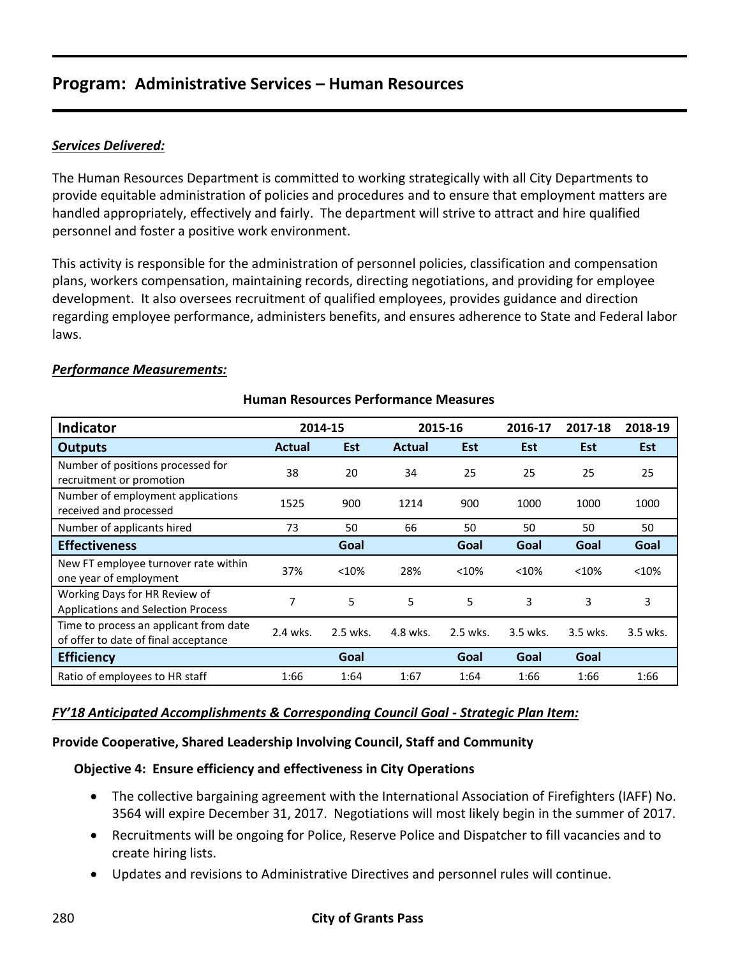## *Services Delivered:*

The Human Resources Department is committed to working strategically with all City Departments to provide equitable administration of policies and procedures and to ensure that employment matters are handled appropriately, effectively and fairly. The department will strive to attract and hire qualified personnel and foster a positive work environment.

This activity is responsible for the administration of personnel policies, classification and compensation plans, workers compensation, maintaining records, directing negotiations, and providing for employee development. It also oversees recruitment of qualified employees, provides guidance and direction regarding employee performance, administers benefits, and ensures adherence to State and Federal labor laws.

#### *Performance Measurements:*

| <b>Indicator</b>                                                               | 2014-15       |          | 2015-16       | 2016-17    | 2017-18    | 2018-19    |            |
|--------------------------------------------------------------------------------|---------------|----------|---------------|------------|------------|------------|------------|
| <b>Outputs</b>                                                                 | <b>Actual</b> | Est      | <b>Actual</b> | <b>Est</b> | <b>Est</b> | <b>Est</b> | <b>Est</b> |
| Number of positions processed for<br>recruitment or promotion                  | 38            | 20       | 34            | 25         | 25         | 25         | 25         |
| Number of employment applications<br>received and processed                    | 1525          | 900      | 1214          | 900        | 1000       | 1000       | 1000       |
| Number of applicants hired                                                     | 73            | 50       | 66            | 50         | 50         | 50         | 50         |
| <b>Effectiveness</b>                                                           |               | Goal     |               | Goal       | Goal       | Goal       | Goal       |
| New FT employee turnover rate within<br>one year of employment                 | 37%           | <10%     | 28%           | < 10%      | < 10%      | < 10%      | < 10%      |
| Working Days for HR Review of<br><b>Applications and Selection Process</b>     | 7             | 5        | 5             | 5          | 3          | 3          | 3          |
| Time to process an applicant from date<br>of offer to date of final acceptance | 2.4 wks.      | 2.5 wks. | 4.8 wks.      | 2.5 wks.   | 3.5 wks.   | 3.5 wks.   | 3.5 wks.   |
| <b>Efficiency</b>                                                              |               | Goal     |               | Goal       | Goal       | Goal       |            |
| Ratio of employees to HR staff                                                 | 1:66          | 1:64     | 1:67          | 1:64       | 1:66       | 1:66       | 1:66       |

### **Human Resources Performance Measures**

### *FY'18 Anticipated Accomplishments & Corresponding Council Goal - Strategic Plan Item:*

#### **Provide Cooperative, Shared Leadership Involving Council, Staff and Community**

#### **Objective 4: Ensure efficiency and effectiveness in City Operations**

- The collective bargaining agreement with the International Association of Firefighters (IAFF) No. 3564 will expire December 31, 2017. Negotiations will most likely begin in the summer of 2017.
- Recruitments will be ongoing for Police, Reserve Police and Dispatcher to fill vacancies and to create hiring lists.
- Updates and revisions to Administrative Directives and personnel rules will continue.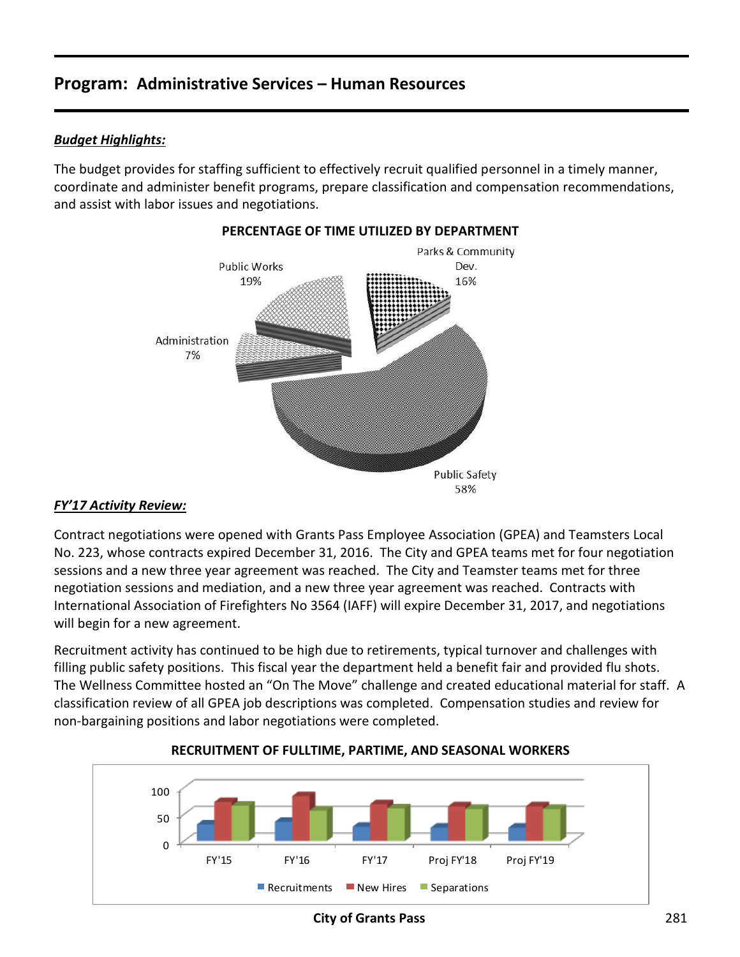## *Budget Highlights:*

The budget provides for staffing sufficient to effectively recruit qualified personnel in a timely manner, coordinate and administer benefit programs, prepare classification and compensation recommendations, and assist with labor issues and negotiations.



## **PERCENTAGE OF TIME UTILIZED BY DEPARTMENT**

#### *FY'17 Activity Review:*

Contract negotiations were opened with Grants Pass Employee Association (GPEA) and Teamsters Local No. 223, whose contracts expired December 31, 2016. The City and GPEA teams met for four negotiation sessions and a new three year agreement was reached. The City and Teamster teams met for three negotiation sessions and mediation, and a new three year agreement was reached. Contracts with International Association of Firefighters No 3564 (IAFF) will expire December 31, 2017, and negotiations will begin for a new agreement.

Recruitment activity has continued to be high due to retirements, typical turnover and challenges with filling public safety positions. This fiscal year the department held a benefit fair and provided flu shots. The Wellness Committee hosted an "On The Move" challenge and created educational material for staff. A classification review of all GPEA job descriptions was completed. Compensation studies and review for non-bargaining positions and labor negotiations were completed.



#### **RECRUITMENT OF FULLTIME, PARTIME, AND SEASONAL WORKERS**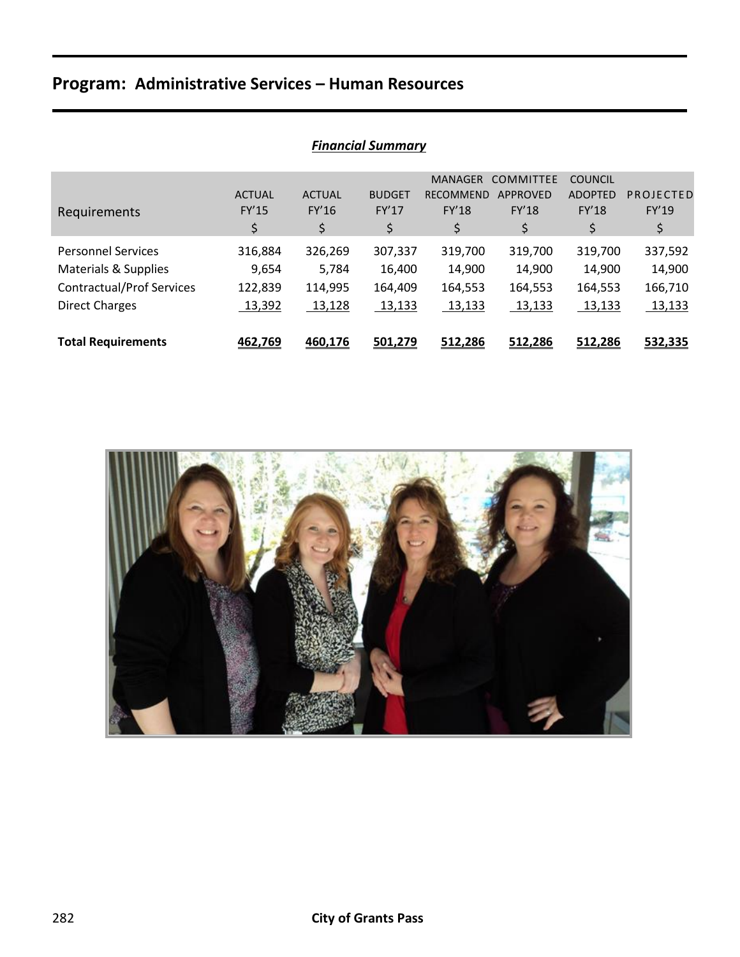|                                  |               |               |               | <b>MANAGER</b>   | <b>COMMITTEE</b> | <b>COUNCIL</b> |           |
|----------------------------------|---------------|---------------|---------------|------------------|------------------|----------------|-----------|
|                                  | <b>ACTUAL</b> | <b>ACTUAL</b> | <b>BUDGET</b> | <b>RECOMMEND</b> | <b>APPROVED</b>  | <b>ADOPTED</b> | PROJECTED |
| Requirements                     | <b>FY'15</b>  | <b>FY'16</b>  | <b>FY'17</b>  | <b>FY'18</b>     | FY'18            | <b>FY'18</b>   | FY'19     |
|                                  | \$            | \$            | \$            | \$               | \$               | \$             | \$        |
| <b>Personnel Services</b>        | 316,884       | 326,269       | 307,337       | 319,700          | 319,700          | 319,700        | 337,592   |
| Materials & Supplies             | 9,654         | 5.784         | 16,400        | 14,900           | 14,900           | 14,900         | 14,900    |
| <b>Contractual/Prof Services</b> | 122,839       | 114,995       | 164,409       | 164,553          | 164,553          | 164,553        | 166,710   |
| <b>Direct Charges</b>            | 13,392        | 13,128        | 13,133        | 13,133           | 13,133           | 13,133         | 13,133    |
|                                  |               |               |               |                  |                  |                |           |
| <b>Total Requirements</b>        | 462,769       | 460,176       | 501,279       | 512,286          | 512.286          | 512,286        | 532,335   |

## *Financial Summary*

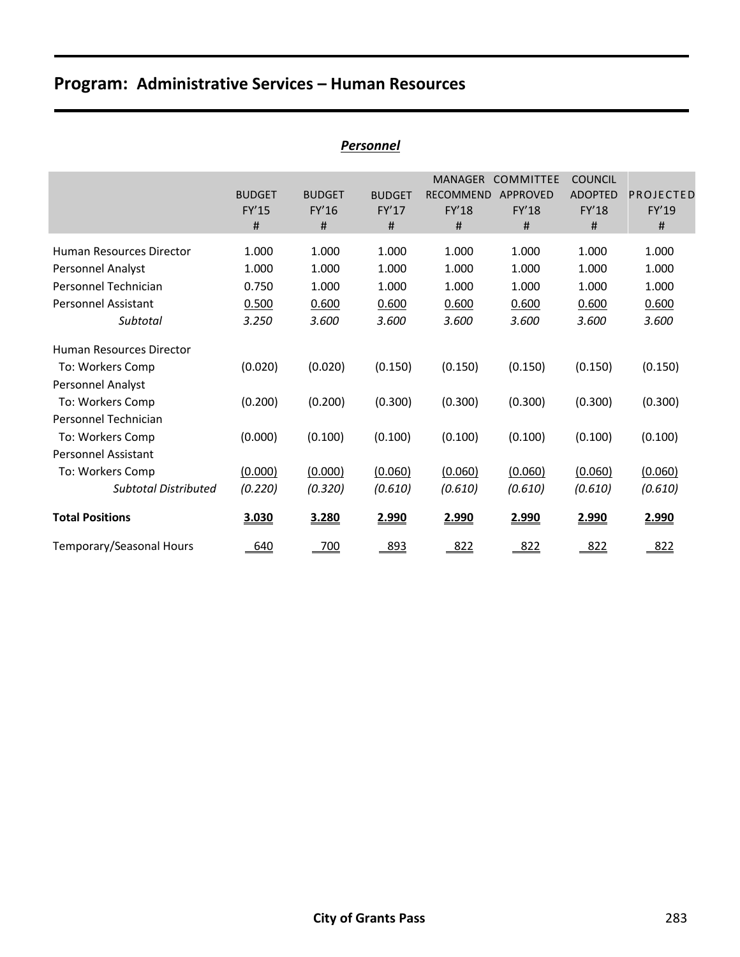| <u>Personnel</u>            |               |               |               |                  |                  |                |           |  |
|-----------------------------|---------------|---------------|---------------|------------------|------------------|----------------|-----------|--|
|                             |               |               |               | <b>MANAGER</b>   | <b>COMMITTEE</b> | <b>COUNCIL</b> |           |  |
|                             | <b>BUDGET</b> | <b>BUDGET</b> | <b>BUDGET</b> | <b>RECOMMEND</b> | <b>APPROVED</b>  | <b>ADOPTED</b> | PROJECTED |  |
|                             | FY'15         | FY'16         | FY'17         | <b>FY'18</b>     | <b>FY'18</b>     | <b>FY'18</b>   | FY'19     |  |
|                             | #             | #             | #             | #                | #                | #              | #         |  |
| Human Resources Director    | 1.000         | 1.000         | 1.000         | 1.000            | 1.000            | 1.000          | 1.000     |  |
| Personnel Analyst           | 1.000         | 1.000         | 1.000         | 1.000            | 1.000            | 1.000          | 1.000     |  |
| Personnel Technician        | 0.750         | 1.000         | 1.000         | 1.000            | 1.000            | 1.000          | 1.000     |  |
| Personnel Assistant         | 0.500         | 0.600         | 0.600         | 0.600            | 0.600            | 0.600          | 0.600     |  |
| Subtotal                    | 3.250         | 3.600         | 3.600         | 3.600            | 3.600            | 3.600          | 3.600     |  |
| Human Resources Director    |               |               |               |                  |                  |                |           |  |
| To: Workers Comp            | (0.020)       | (0.020)       | (0.150)       | (0.150)          | (0.150)          | (0.150)        | (0.150)   |  |
| Personnel Analyst           |               |               |               |                  |                  |                |           |  |
| To: Workers Comp            | (0.200)       | (0.200)       | (0.300)       | (0.300)          | (0.300)          | (0.300)        | (0.300)   |  |
| Personnel Technician        |               |               |               |                  |                  |                |           |  |
| To: Workers Comp            | (0.000)       | (0.100)       | (0.100)       | (0.100)          | (0.100)          | (0.100)        | (0.100)   |  |
| Personnel Assistant         |               |               |               |                  |                  |                |           |  |
| To: Workers Comp            | (0.000)       | (0.000)       | (0.060)       | (0.060)          | (0.060)          | (0.060)        | (0.060)   |  |
| <b>Subtotal Distributed</b> | (0.220)       | (0.320)       | (0.610)       | (0.610)          | (0.610)          | (0.610)        | (0.610)   |  |
| <b>Total Positions</b>      | 3.030         | 3.280         | 2.990         | 2.990            | 2.990            | 2.990          | 2.990     |  |
| Temporary/Seasonal Hours    | 640           | 700           | 893           | 822              | 822              | 822            | 822       |  |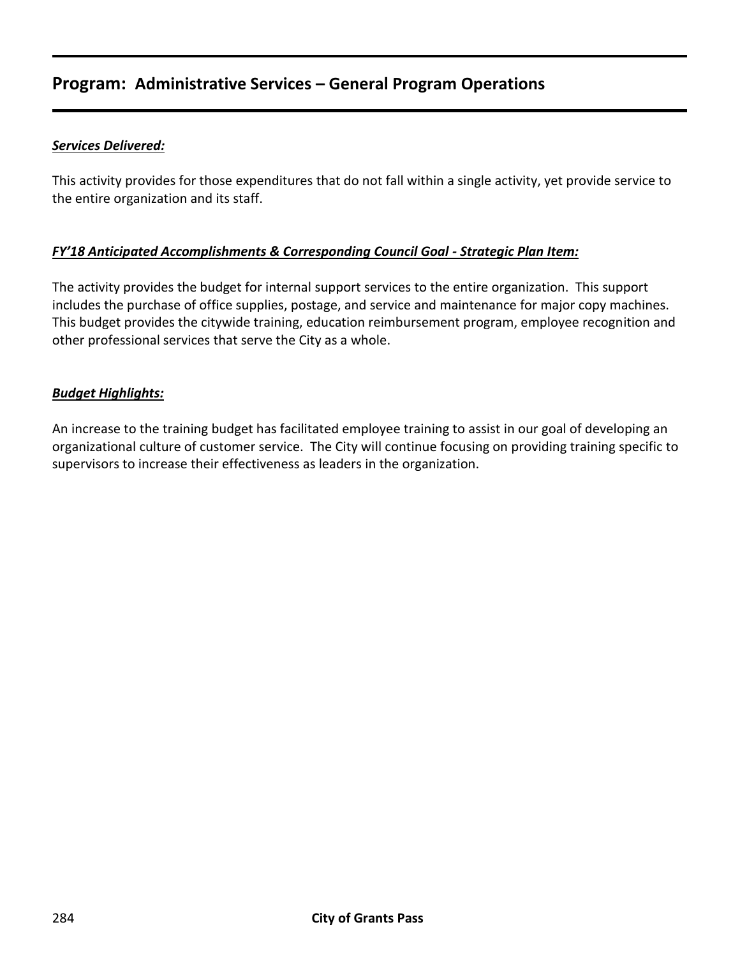# **Program: Administrative Services – General Program Operations**

#### *Services Delivered:*

This activity provides for those expenditures that do not fall within a single activity, yet provide service to the entire organization and its staff.

#### *FY'18 Anticipated Accomplishments & Corresponding Council Goal - Strategic Plan Item:*

The activity provides the budget for internal support services to the entire organization. This support includes the purchase of office supplies, postage, and service and maintenance for major copy machines. This budget provides the citywide training, education reimbursement program, employee recognition and other professional services that serve the City as a whole.

#### *Budget Highlights:*

An increase to the training budget has facilitated employee training to assist in our goal of developing an organizational culture of customer service. The City will continue focusing on providing training specific to supervisors to increase their effectiveness as leaders in the organization.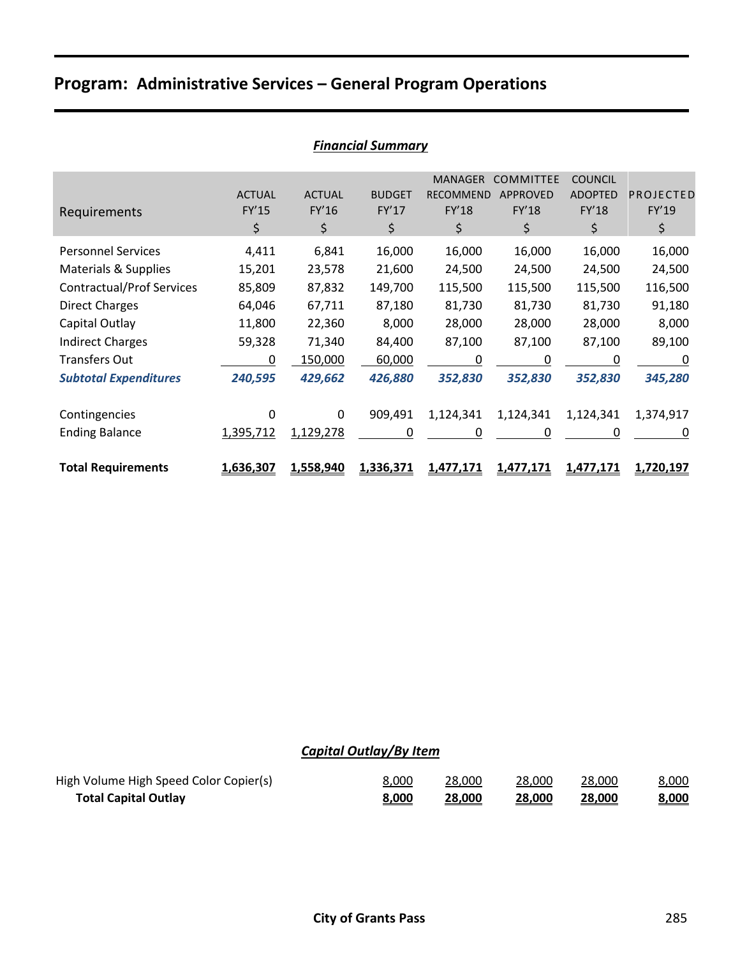# **Program: Administrative Services – General Program Operations**

| Requirements                     | <b>ACTUAL</b><br><b>FY'15</b><br>\$ | <b>ACTUAL</b><br>FY'16<br>\$ | <b>BUDGET</b><br><b>FY'17</b><br>\$ | <b>MANAGER</b><br><b>RECOMMEND</b><br><b>FY'18</b><br>\$ | <b>COMMITTEE</b><br><b>APPROVED</b><br>FY'18<br>\$ | <b>COUNCIL</b><br><b>ADOPTED</b><br>FY'18<br>\$ | PROJECTED<br>FY'19<br>\$ |
|----------------------------------|-------------------------------------|------------------------------|-------------------------------------|----------------------------------------------------------|----------------------------------------------------|-------------------------------------------------|--------------------------|
| <b>Personnel Services</b>        | 4,411                               | 6,841                        | 16,000                              | 16,000                                                   | 16,000                                             | 16,000                                          | 16,000                   |
| <b>Materials &amp; Supplies</b>  | 15,201                              | 23,578                       | 21,600                              | 24,500                                                   | 24,500                                             | 24,500                                          | 24,500                   |
| <b>Contractual/Prof Services</b> | 85,809                              | 87,832                       | 149,700                             | 115,500                                                  | 115,500                                            | 115,500                                         | 116,500                  |
| <b>Direct Charges</b>            | 64,046                              | 67,711                       | 87,180                              | 81,730                                                   | 81,730                                             | 81,730                                          | 91,180                   |
| Capital Outlay                   | 11,800                              | 22,360                       | 8,000                               | 28,000                                                   | 28,000                                             | 28,000                                          | 8,000                    |
| <b>Indirect Charges</b>          | 59,328                              | 71,340                       | 84,400                              | 87,100                                                   | 87,100                                             | 87,100                                          | 89,100                   |
| <b>Transfers Out</b>             | 0                                   | 150,000                      | 60,000                              | 0                                                        | 0                                                  | 0                                               | 0                        |
| <b>Subtotal Expenditures</b>     | 240,595                             | 429,662                      | 426,880                             | 352,830                                                  | 352,830                                            | 352,830                                         | 345,280                  |
| Contingencies                    | 0                                   | $\Omega$                     | 909,491                             | 1,124,341                                                | 1,124,341                                          | 1,124,341                                       | 1,374,917                |
| <b>Ending Balance</b>            | 1,395,712                           | 1,129,278                    | 0                                   | 0                                                        | 0                                                  | 0                                               | 0                        |
| <b>Total Requirements</b>        | 1,636,307                           | 1,558,940                    | 1,336,371                           | <u>1,477,171</u>                                         | <u>1,477,171</u>                                   | <u>1,477,171</u>                                | 1,720,197                |

## *Financial Summary*

## *Capital Outlay/By Item*

| High Volume High Speed Color Copier(s) | <u>8,000</u> | 28,000 | 28,000 | 28,000 | 8,000 |
|----------------------------------------|--------------|--------|--------|--------|-------|
| <b>Total Capital Outlay</b>            | 8,000        | 28,000 | 28,000 | 28,000 | 8,000 |